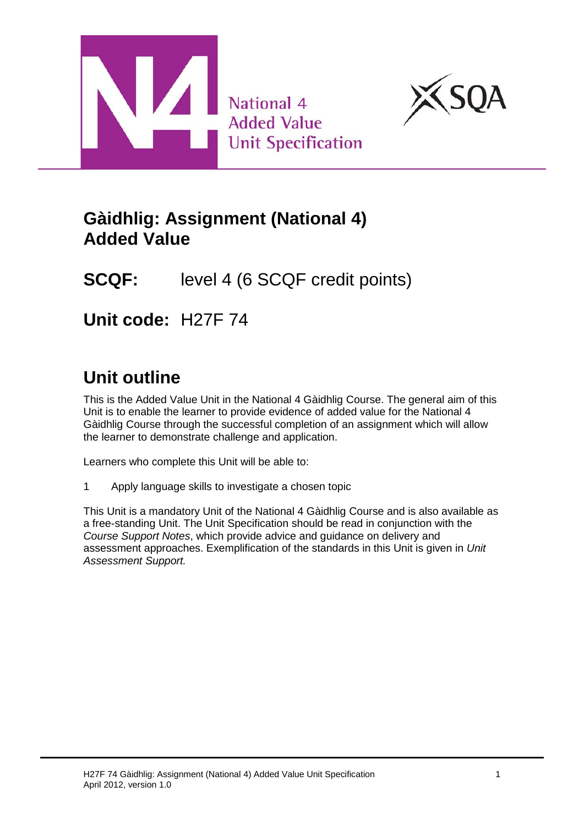



## **Gàidhlig: Assignment (National 4) Added Value**

# **SCQF:** level 4 (6 SCQF credit points)

**Unit code:** H27F 74

# **Unit outline**

This is the Added Value Unit in the National 4 Gàidhlig Course. The general aim of this Unit is to enable the learner to provide evidence of added value for the National 4 Gàidhlig Course through the successful completion of an assignment which will allow the learner to demonstrate challenge and application.

Learners who complete this Unit will be able to:

1 Apply language skills to investigate a chosen topic

This Unit is a mandatory Unit of the National 4 Gàidhlig Course and is also available as a free-standing Unit. The Unit Specification should be read in conjunction with the *Course Support Notes*, which provide advice and guidance on delivery and assessment approaches. Exemplification of the standards in this Unit is given in *Unit Assessment Support.*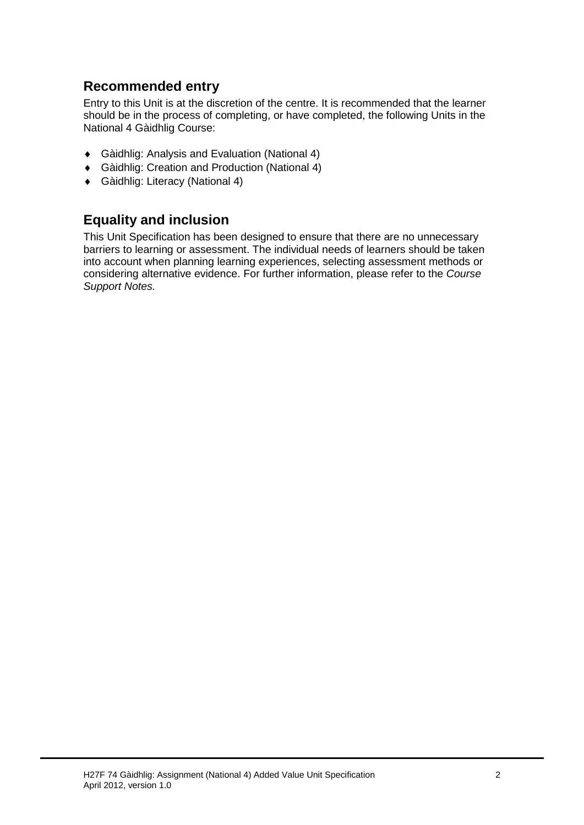### **Recommended entry**

Entry to this Unit is at the discretion of the centre. It is recommended that the learner should be in the process of completing, or have completed, the following Units in the National 4 Gàidhlig Course:

- ♦ Gàidhlig: Analysis and Evaluation (National 4)
- ♦ Gàidhlig: Creation and Production (National 4)
- ♦ Gàidhlig: Literacy (National 4)

### **Equality and inclusion**

This Unit Specification has been designed to ensure that there are no unnecessary barriers to learning or assessment. The individual needs of learners should be taken into account when planning learning experiences, selecting assessment methods or considering alternative evidence. For further information, please refer to the *Course Support Notes.*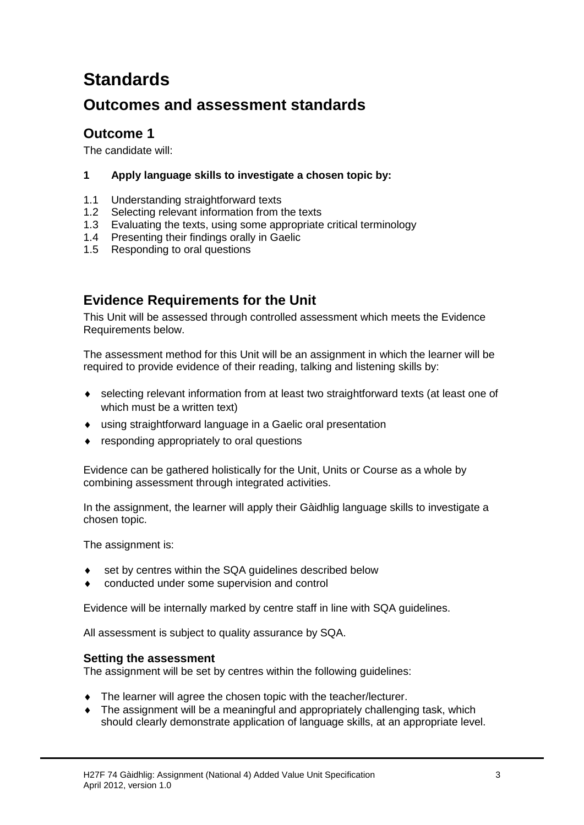# **Standards**

### **Outcomes and assessment standards**

### **Outcome 1**

The candidate will:

#### **1 Apply language skills to investigate a chosen topic by:**

- 1.1 Understanding straightforward texts
- 1.2 Selecting relevant information from the texts
- 1.3 Evaluating the texts, using some appropriate critical terminology
- 1.4 Presenting their findings orally in Gaelic
- 1.5 Responding to oral questions

### **Evidence Requirements for the Unit**

This Unit will be assessed through controlled assessment which meets the Evidence Requirements below.

The assessment method for this Unit will be an assignment in which the learner will be required to provide evidence of their reading, talking and listening skills by:

- ♦ selecting relevant information from at least two straightforward texts (at least one of which must be a written text)
- ♦ using straightforward language in a Gaelic oral presentation
- ♦ responding appropriately to oral questions

Evidence can be gathered holistically for the Unit, Units or Course as a whole by combining assessment through integrated activities.

In the assignment, the learner will apply their Gàidhlig language skills to investigate a chosen topic.

The assignment is:

- set by centres within the SQA guidelines described below
- conducted under some supervision and control

Evidence will be internally marked by centre staff in line with SQA guidelines.

All assessment is subject to quality assurance by SQA.

#### **Setting the assessment**

The assignment will be set by centres within the following guidelines:

- ♦ The learner will agree the chosen topic with the teacher/lecturer.
- ♦ The assignment will be a meaningful and appropriately challenging task, which should clearly demonstrate application of language skills, at an appropriate level.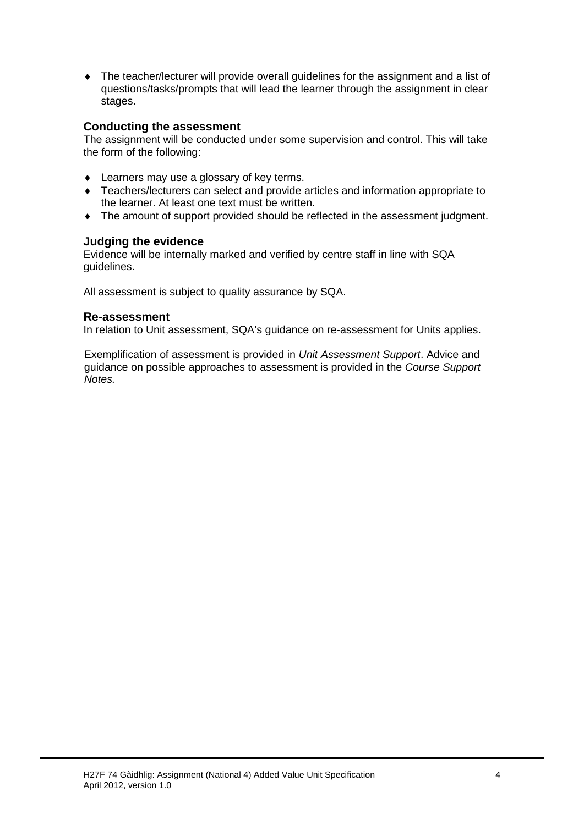♦ The teacher/lecturer will provide overall guidelines for the assignment and a list of questions/tasks/prompts that will lead the learner through the assignment in clear stages.

#### **Conducting the assessment**

The assignment will be conducted under some supervision and control. This will take the form of the following:

- ♦ Learners may use a glossary of key terms.
- ♦ Teachers/lecturers can select and provide articles and information appropriate to the learner. At least one text must be written.
- ♦ The amount of support provided should be reflected in the assessment judgment.

#### **Judging the evidence**

Evidence will be internally marked and verified by centre staff in line with SQA guidelines.

All assessment is subject to quality assurance by SQA.

#### **Re-assessment**

In relation to Unit assessment, SQA's guidance on re-assessment for Units applies.

Exemplification of assessment is provided in *Unit Assessment Support*. Advice and guidance on possible approaches to assessment is provided in the *Course Support Notes.*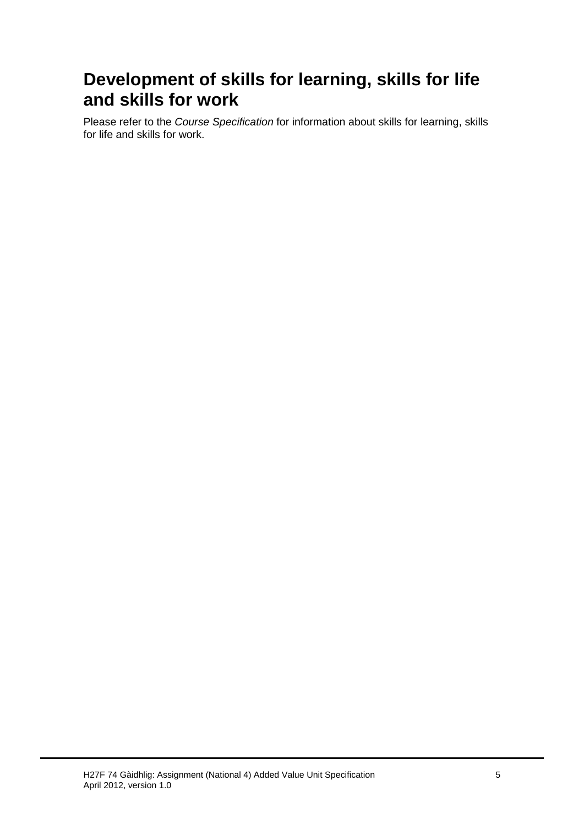## **Development of skills for learning, skills for life and skills for work**

Please refer to the *Course Specification* for information about skills for learning, skills for life and skills for work.

H27F 74 Gàidhlig: Assignment (National 4) Added Value Unit Specification 5 April 2012, version 1.0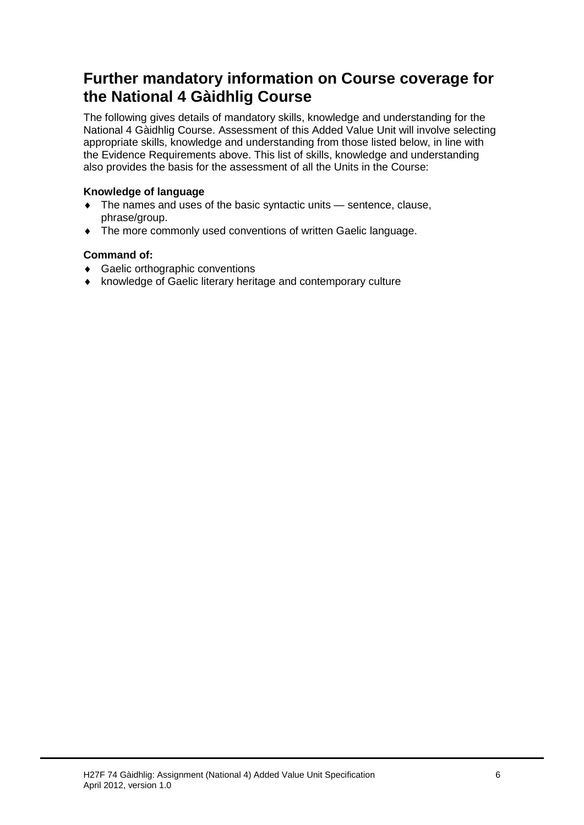## **Further mandatory information on Course coverage for the National 4 Gàidhlig Course**

The following gives details of mandatory skills, knowledge and understanding for the National 4 Gàidhlig Course. Assessment of this Added Value Unit will involve selecting appropriate skills, knowledge and understanding from those listed below, in line with the Evidence Requirements above. This list of skills, knowledge and understanding also provides the basis for the assessment of all the Units in the Course:

#### **Knowledge of language**

- ♦ The names and uses of the basic syntactic units sentence, clause, phrase/group.
- ♦ The more commonly used conventions of written Gaelic language.

#### **Command of:**

- ♦ Gaelic orthographic conventions
- ♦ knowledge of Gaelic literary heritage and contemporary culture